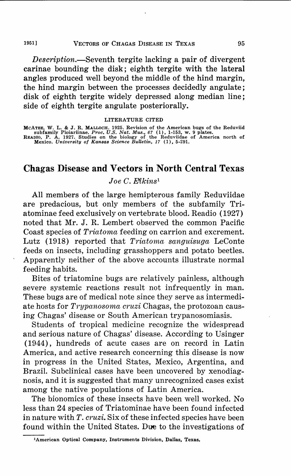#### 1951) VECTORS OF CHAGAS DISEASE IN TEXAS 95

*Description.-Seventh* tergite lacking a pair of divergent carinae bounding the disk; eighth tergite with the lateral angles produced well beyond the middle of the hind margin, the hind margin between the processes decidedly angulate; disk of eighth tergite widely depressed along median line; side of eighth tergite angulate posteriorally.

#### LITERATURE CITED

MCATEE, W. L. & J. R. MALLOCH. 1925. Revision of the American bugs of the Reduviid<br>subfamily Ploiariinae. Proc. U.S. Nat. Mus., 67 (1), 1-153, w. 9 plates.<br>READIO, P. A. 1927. Studies on the biology of the Reduviidae of Am

# **Chagas Disease and Vectors in North Central Texas**

# *Joe C. Elkins*<sup>1</sup>

All members of the large hemipterous family Reduviidae are predacious, but only members of the subfamily Triatominae feed exclusively on vertebrate blood. Readio (1927) noted that Mr. J. R. Lembert observed the common Pacific Coast species of *Triatoma* feeding on carrion and excrement. Lutz (1918) reported that *Triatoma sanguisuga* LeConte feeds on insects, including grasshoppers and potato beetles. Apparently neither of the above accounts illustrate normal feeding habits.

Bites of triatomine bugs are relatively painless, although severe systemic reactions result not infrequently in man. These bugs are of medical note since they serve as intermediate hosts for *Trypanosoma cruzi* Chagas, the protozoan causing Chagas' disease or South American trypanosomiasis.

Students of tropical medicine recognize the widespread and serious nature of Chagas' disease. According to Usinger (1944), hundreds of acute cases are on record in Latin America, and active research concerning this disease is now in progress in the United States, Mexico, Argentina, and Brazil. Subclinical cases have been uncovered by xenodiagnosis, and it is suggested that many unrecognized cases exist among the native populations of Latin America.

The bionomics of these insects have been well worked. No less than 24 species of Triatominae have been found infected in nature with *T. cruzi.* Six of these infected species have been found within the United States. Due to the investigations of

**<sup>1</sup>American Optical Company, Instruments Division, Dallas, Texas.**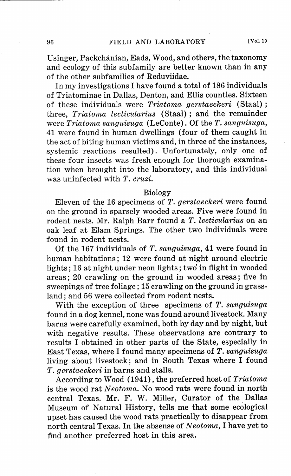Usinger, Packchanian, Eads, Wood, and others, the taxonomy and ecology of this subfamily are better known than in any of the other subfamilies of Reduviidae.

In my investigations I have found a total of 186 individuals of Triatominae in Dallas, Denton, and Ellis counties. Sixteen of these individuals were *Triatoma gerstaeckeri* (Staal) ; three, *Triatoma lecticularius* (Staal) ; and the remainder were *Triatoma sanguisuga* (LeConte). Of the *T. sanguisuga,*  41 were found in human dwellings (four of them caught in the act of biting human victims and, in three of the instances, systemic reactions resulted). Unfortunately, only one of these four insects was fresh enough for thorough examination when brought into the laboratory, and this individual was uninfected with *T. cruzi.* 

#### Biology

Eleven of the 16 specimens of *T. gerstaeckeri* were found on the ground in sparsely wooded areas. Five were found in rodent nests. Mr. Ralph Barr found a *T. lecticularius* on an oak leaf at Elam Springs. The other two individuals were found in rodent nests.

Of the 167 individuals of *T. sanguisuga,* 41 were found in human habitations; 12 were found at night around electric lights; 16 at night under neon lights; two' in flight in wooded areas; 20 crawling on the ground in wooded areas; five in sweepings of tree foliage; 15 crawling on the ground in grassland; and 56 were collected from rodent nests.

With the exception of three specimens of *T. sanguisuga*  found in a dog kennel, none was found around livestock. Many barns were carefully examined, both by day and by night, but with negative results. These observations are contrary to results I obtained in other parts of the State, especially in East Texas, where I found many specimens of *T. sanguisuga*  living about livestock; and in South Texas where I found *T. gerstaeckeri* in barns and stalls.

According to Wood ( 1941), the preferred host of *Triatoma*  is the wood rat *Neotoma.* No wood rats were found in north central Texas. Mr. F. W. Miller, Curator of the Dallas Museum of Natural History, tells me that some ecological upset has caused the wood rats practically to disappear from north central Texas. In **Ute** absense of *N eotoma,* I have yet to find another preferred host in this area.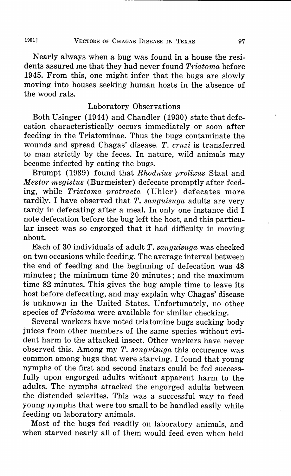Nearly always when a bug was found in a house the residents assured me that they had never found *Triatoma* before 1945. From this, one might infer that the bugs are slowly moving into houses seeking human hosts in the absence of the wood rats.

# Laboratory Observations

Both Usinger (1944) and Chandler (1930) state that defecation characteristically occurs immediately or soon after feeding in the Triatominae. Thus the bugs contaminate the wounds and spread Chagas' disease. *T. cruzi* is transferred to man strictly by the feces. In nature, wild animals may become infected by eating the bugs.

Brumpt (1939) found that *Rhodnius prolixus* Staal and *Mestor megistus* (Burmeister) defecate promptly after feeding, while *Triatoma protracta* (Uhler) defecates more tardily. I have observed that *T. sanguisuga* adults are very tardy in defecating after a meal. In only one instance did I note defecation before the bug left the host, and this particular insect was so engorged that it had difficulty in moving about.

Each of 30 individuals of adult *T. sanguisuga* was checked on two occasions while feeding. The average interval between the end of feeding and the beginning of defecation was 48 minutes; the minimum time 20 minutes; and the maximum time 82 minutes. This gives the bug ample time to leave its host before defecating, and may explain why Chagas' disease is unknown in the United States. Unfortunately, no other species of *Triatoma* were available for similar checking.

Several workers have noted triatomine bugs sucking body juices from other members of the same species without evident harm to the attacked insect. Other workers have never observed this. Among my *T. sanguisuga* this occurence was common among bugs that were starving. I found that young nymphs of the first and second instars could be fed successfully upon engorged adults without apparent harm to the adults. The nymphs attacked the engorged adults between the distended sclerites. This was a successful way to feed young nymphs that were too small to be handled easily while feeding on laboratory animals.

Most of the bugs fed readily on laboratory animals, and when starved nearly all of them would feed even when held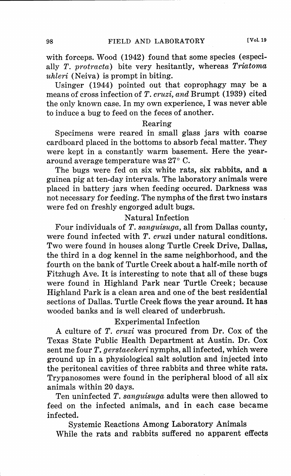with forceps. Wood (1942) found that some species (especially *T. protracta)* bite very hesitantly, whereas *Triatoma uhleri* (Neiva) is prompt in biting.

Usinger (1944) pointed out that coprophagy may be a means of cross infection of *T. cruzi, and* Brumpt (1939) cited the only known case. In my own experience, I was never able to induce a bug to feed on the feces of another.

# Rearing

Specimens were reared in small glass jars with coarse cardboard placed in the bottoms to absorb fecal matter. They were kept in a constantly warm basement. Here the yeararound average temperature was 27° C.

The bugs were fed on six white rats, six rabbits, and a guinea pig at ten-day intervals. The laboratory animals were placed in battery jars when feeding occured. Darkness was not necessary for feeding. The nymphs of the first two instars were fed on freshly engorged adult bugs.

# Natural Infection

Four individuals of *T. sanguisuga,* all from Dallas county, were found infected with *T. cruzi* under natural conditions. Two were found in houses along Turtle Creek Drive, Dallas, the third in a dog kennel in the same neighborhood, and the fourth on the bank of Turtle Creek about a half-mile north of Fitzhugh Ave. It is interesting to note that all of these bugs were found in Highland Park near Turtle Creek; because Highland Park is a clean area and one of the best residential sections of Dallas. Turtle Creek flows the year around. It has wooded banks and is well cleared of underbrush.

# Experimental Infection

A culture of *T. cruzi* was procured from Dr. Cox of the Texas State Public Health Department at Austin. Dr. Cox sent me four *T. gerstaeckeri* nymphs, all infected, which were ground up in a physiological salt solution and injected into the peritoneal cavities of three rabbits and three white rats. Trypanosomes were found in the peripheral blood of all six animals within 20 days.

Ten uninfected *T. sanguisuga* adults were then allowed to feed on the infected animals, and in each case became infected.

Systemic Reactions Among Laboratory Animals While the rats and rabbits suffered no apparent effects